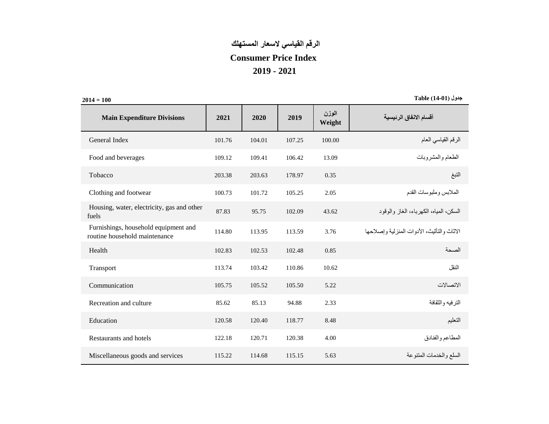## **الرقم القياسي السعار المستهلك Consumer Price Index 2019 - 2021**

**100 = 2014 جدول )14-01( Table**

| <b>Main Expenditure Divisions</b>                                     | 2021   | 2020   | 2019   | الوزن<br>Weight | أقسام الانفاق الرئيسية                      |
|-----------------------------------------------------------------------|--------|--------|--------|-----------------|---------------------------------------------|
| General Index                                                         | 101.76 | 104.01 | 107.25 | 100.00          | الرقم القياسي العام                         |
| Food and beverages                                                    | 109.12 | 109.41 | 106.42 | 13.09           | الطعام والمشروبات                           |
| Tobacco                                                               | 203.38 | 203.63 | 178.97 | 0.35            | التبغ                                       |
| Clothing and footwear                                                 | 100.73 | 101.72 | 105.25 | 2.05            | الملابس وملبوسات القدم                      |
| Housing, water, electricity, gas and other<br>fuels                   | 87.83  | 95.75  | 102.09 | 43.62           | السكن، المياه، الكهر بـاء، الـغاز والوقود   |
| Furnishings, household equipment and<br>routine household maintenance | 114.80 | 113.95 | 113.59 | 3.76            | الإثاث والتأثبث، الأدوات المنز لبة وإصلاحها |
| Health                                                                | 102.83 | 102.53 | 102.48 | 0.85            | الصحة                                       |
| Transport                                                             | 113.74 | 103.42 | 110.86 | 10.62           | النقل                                       |
| Communication                                                         | 105.75 | 105.52 | 105.50 | 5.22            | الاتصالات                                   |
| Recreation and culture                                                | 85.62  | 85.13  | 94.88  | 2.33            | الترفيه والثقافة                            |
| Education                                                             | 120.58 | 120.40 | 118.77 | 8.48            | التعليم                                     |
| Restaurants and hotels                                                | 122.18 | 120.71 | 120.38 | 4.00            | المطاعم والفنادق                            |
| Miscellaneous goods and services                                      | 115.22 | 114.68 | 115.15 | 5.63            | السلع والخدمات المتنوعة                     |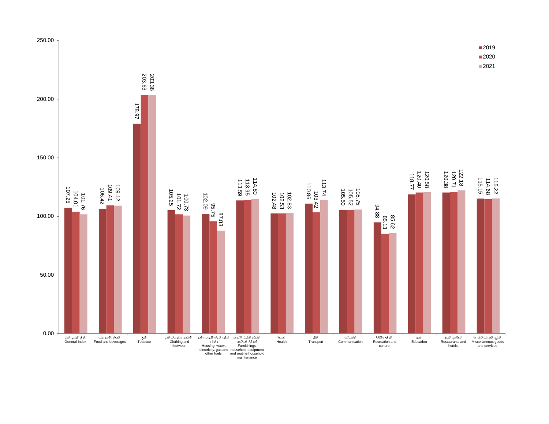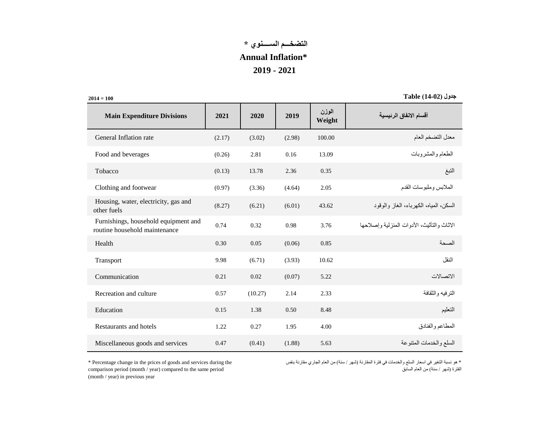## **التضخـــم الســــنوي \* Annual Inflation\* 2019 - 2021**

 $2014 = 100$ 

**جدول )14-02( Table**

| <b>Main Expenditure Divisions</b>                                     | 2021   | 2020    | 2019   | الوزن<br>Weight | أقسام الانفاق الرئيسية                      |
|-----------------------------------------------------------------------|--------|---------|--------|-----------------|---------------------------------------------|
| General Inflation rate                                                | (2.17) | (3.02)  | (2.98) | 100.00          | معدل التضخم العام                           |
| Food and beverages                                                    | (0.26) | 2.81    | 0.16   | 13.09           | الطعام والمشروبات                           |
| Tobacco                                                               | (0.13) | 13.78   | 2.36   | 0.35            | النبغ                                       |
| Clothing and footwear                                                 | (0.97) | (3.36)  | (4.64) | 2.05            | الملابس وملبوسات القدم                      |
| Housing, water, electricity, gas and<br>other fuels                   | (8.27) | (6.21)  | (6.01) | 43.62           | السكن، المياه، الكهر باء، الغاز والوقود     |
| Furnishings, household equipment and<br>routine household maintenance | 0.74   | 0.32    | 0.98   | 3.76            | الإثاث والتأثبث، الأدوات المنز لبة وإصلاحها |
| Health                                                                | 0.30   | 0.05    | (0.06) | 0.85            | الصحة                                       |
| Transport                                                             | 9.98   | (6.71)  | (3.93) | 10.62           | النقل                                       |
| Communication                                                         | 0.21   | 0.02    | (0.07) | 5.22            | الاتصالات                                   |
| Recreation and culture                                                | 0.57   | (10.27) | 2.14   | 2.33            | الترفيه والثقافة                            |
| Education                                                             | 0.15   | 1.38    | 0.50   | 8.48            | التعليم                                     |
| Restaurants and hotels                                                | 1.22   | 0.27    | 1.95   | 4.00            | المطاعم والفنادق                            |
| Miscellaneous goods and services                                      | 0.47   | (0.41)  | (1.88) | 5.63            | السلع والخدمات المتنوعة                     |

\* Percentage change in the prices of goods and services during the comparison period (month / year) compared to the same period (month / year) in previous year

\* هو نسبة التغير في اسعار السلع والخدمات في فترة المقارنة (شهر / سنة) من العام الجاري مقارنة بنفس الفترة (شهر / سنة) من العام السابق